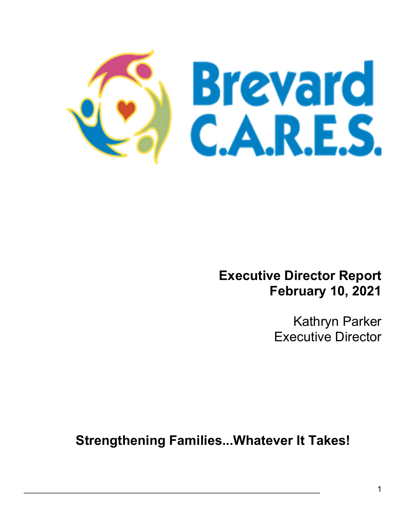

## Executive Director Report February 10, 2021

Kathryn Parker Executive Director

Strengthening Families...Whatever It Takes!

 $\mathcal{L}_\mathcal{L} = \mathcal{L}_\mathcal{L} = \mathcal{L}_\mathcal{L} = \mathcal{L}_\mathcal{L} = \mathcal{L}_\mathcal{L} = \mathcal{L}_\mathcal{L} = \mathcal{L}_\mathcal{L} = \mathcal{L}_\mathcal{L} = \mathcal{L}_\mathcal{L} = \mathcal{L}_\mathcal{L} = \mathcal{L}_\mathcal{L} = \mathcal{L}_\mathcal{L} = \mathcal{L}_\mathcal{L} = \mathcal{L}_\mathcal{L} = \mathcal{L}_\mathcal{L} = \mathcal{L}_\mathcal{L} = \mathcal{L}_\mathcal{L}$ 

Ξ